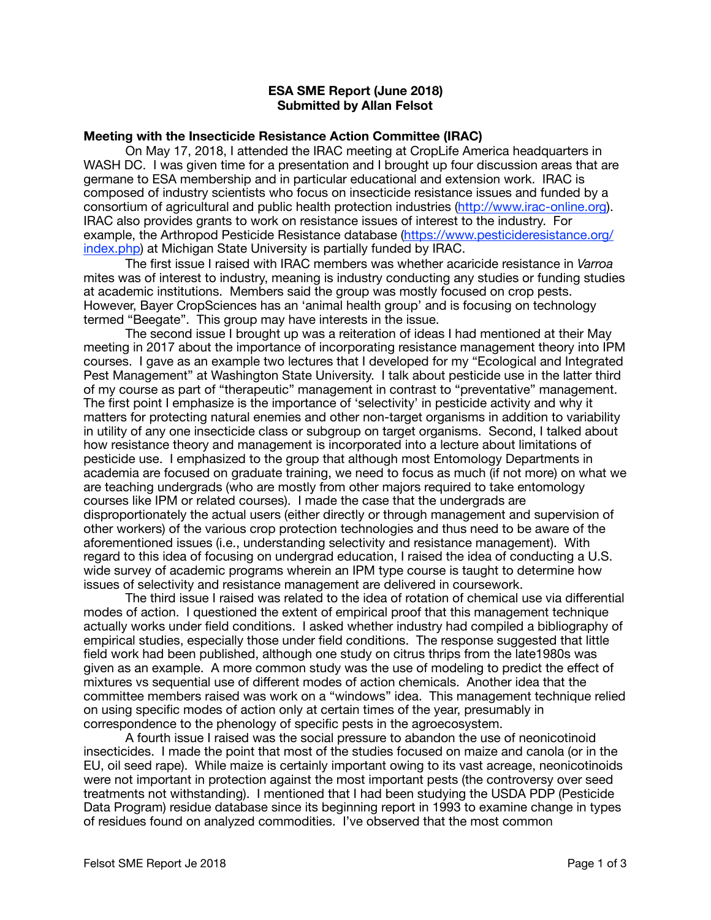## **ESA SME Report (June 2018) Submitted by Allan Felsot**

## **Meeting with the Insecticide Resistance Action Committee (IRAC)**

On May 17, 2018, I attended the IRAC meeting at CropLife America headquarters in WASH DC. I was given time for a presentation and I brought up four discussion areas that are germane to ESA membership and in particular educational and extension work. IRAC is composed of industry scientists who focus on insecticide resistance issues and funded by a consortium of agricultural and public health protection industries ([http://www.irac-online.org\)](http://www.irac-online.org). IRAC also provides grants to work on resistance issues of interest to the industry. For example, the Arthropod Pesticide Resistance database [\(https://www.pesticideresistance.org/](https://www.pesticideresistance.org/index.php) [index.php\)](https://www.pesticideresistance.org/index.php) at Michigan State University is partially funded by IRAC.

The first issue I raised with IRAC members was whether acaricide resistance in *Varroa*  mites was of interest to industry, meaning is industry conducting any studies or funding studies at academic institutions. Members said the group was mostly focused on crop pests. However, Bayer CropSciences has an 'animal health group' and is focusing on technology termed "Beegate". This group may have interests in the issue.

The second issue I brought up was a reiteration of ideas I had mentioned at their May meeting in 2017 about the importance of incorporating resistance management theory into IPM courses. I gave as an example two lectures that I developed for my "Ecological and Integrated Pest Management" at Washington State University. I talk about pesticide use in the latter third of my course as part of "therapeutic" management in contrast to "preventative" management. The first point I emphasize is the importance of 'selectivity' in pesticide activity and why it matters for protecting natural enemies and other non-target organisms in addition to variability in utility of any one insecticide class or subgroup on target organisms. Second, I talked about how resistance theory and management is incorporated into a lecture about limitations of pesticide use. I emphasized to the group that although most Entomology Departments in academia are focused on graduate training, we need to focus as much (if not more) on what we are teaching undergrads (who are mostly from other majors required to take entomology courses like IPM or related courses). I made the case that the undergrads are disproportionately the actual users (either directly or through management and supervision of other workers) of the various crop protection technologies and thus need to be aware of the aforementioned issues (i.e., understanding selectivity and resistance management). With regard to this idea of focusing on undergrad education, I raised the idea of conducting a U.S. wide survey of academic programs wherein an IPM type course is taught to determine how issues of selectivity and resistance management are delivered in coursework.

The third issue I raised was related to the idea of rotation of chemical use via differential modes of action. I questioned the extent of empirical proof that this management technique actually works under field conditions. I asked whether industry had compiled a bibliography of empirical studies, especially those under field conditions. The response suggested that little field work had been published, although one study on citrus thrips from the late1980s was given as an example. A more common study was the use of modeling to predict the effect of mixtures vs sequential use of different modes of action chemicals. Another idea that the committee members raised was work on a "windows" idea. This management technique relied on using specific modes of action only at certain times of the year, presumably in correspondence to the phenology of specific pests in the agroecosystem.

A fourth issue I raised was the social pressure to abandon the use of neonicotinoid insecticides. I made the point that most of the studies focused on maize and canola (or in the EU, oil seed rape). While maize is certainly important owing to its vast acreage, neonicotinoids were not important in protection against the most important pests (the controversy over seed treatments not withstanding). I mentioned that I had been studying the USDA PDP (Pesticide Data Program) residue database since its beginning report in 1993 to examine change in types of residues found on analyzed commodities. I've observed that the most common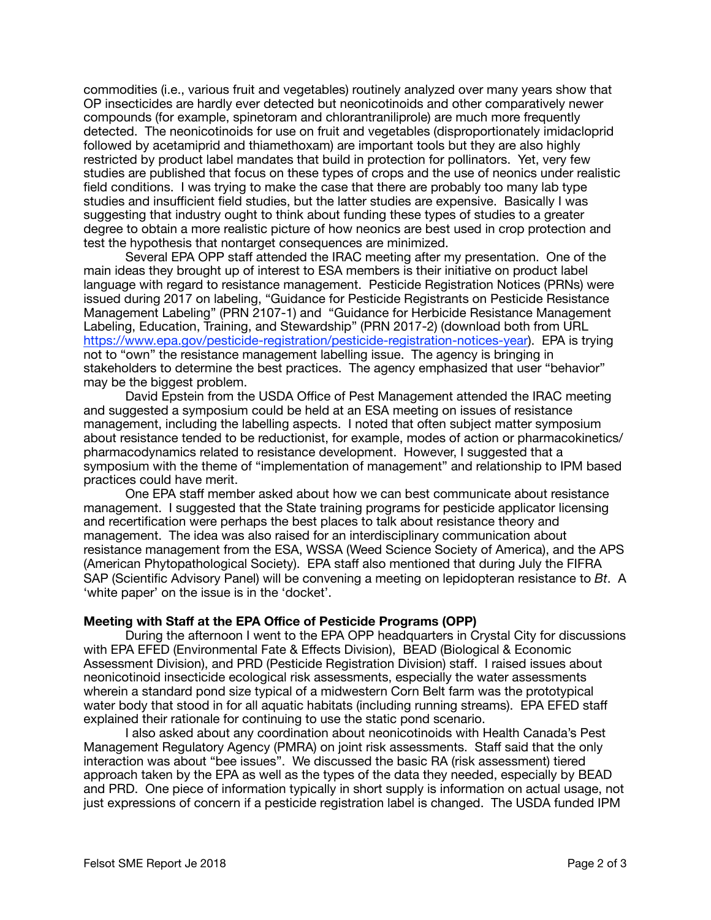commodities (i.e., various fruit and vegetables) routinely analyzed over many years show that OP insecticides are hardly ever detected but neonicotinoids and other comparatively newer compounds (for example, spinetoram and chlorantraniliprole) are much more frequently detected. The neonicotinoids for use on fruit and vegetables (disproportionately imidacloprid followed by acetamiprid and thiamethoxam) are important tools but they are also highly restricted by product label mandates that build in protection for pollinators. Yet, very few studies are published that focus on these types of crops and the use of neonics under realistic field conditions. I was trying to make the case that there are probably too many lab type studies and insufficient field studies, but the latter studies are expensive. Basically I was suggesting that industry ought to think about funding these types of studies to a greater degree to obtain a more realistic picture of how neonics are best used in crop protection and test the hypothesis that nontarget consequences are minimized.

Several EPA OPP staff attended the IRAC meeting after my presentation. One of the main ideas they brought up of interest to ESA members is their initiative on product label language with regard to resistance management. Pesticide Registration Notices (PRNs) were issued during 2017 on labeling, "Guidance for Pesticide Registrants on Pesticide Resistance Management Labeling" (PRN 2107-1) and "Guidance for Herbicide Resistance Management Labeling, Education, Training, and Stewardship" (PRN 2017-2) (download both from URL [https://www.epa.gov/pesticide-registration/pesticide-registration-notices-year\)](https://www.epa.gov/pesticide-registration/pesticide-registration-notices-year). EPA is trying not to "own" the resistance management labelling issue. The agency is bringing in stakeholders to determine the best practices. The agency emphasized that user "behavior" may be the biggest problem.

David Epstein from the USDA Office of Pest Management attended the IRAC meeting and suggested a symposium could be held at an ESA meeting on issues of resistance management, including the labelling aspects. I noted that often subject matter symposium about resistance tended to be reductionist, for example, modes of action or pharmacokinetics/ pharmacodynamics related to resistance development. However, I suggested that a symposium with the theme of "implementation of management" and relationship to IPM based practices could have merit.

One EPA staff member asked about how we can best communicate about resistance management. I suggested that the State training programs for pesticide applicator licensing and recertification were perhaps the best places to talk about resistance theory and management. The idea was also raised for an interdisciplinary communication about resistance management from the ESA, WSSA (Weed Science Society of America), and the APS (American Phytopathological Society). EPA staff also mentioned that during July the FIFRA SAP (Scientific Advisory Panel) will be convening a meeting on lepidopteran resistance to *Bt*. A 'white paper' on the issue is in the 'docket'.

## **Meeting with Staff at the EPA Office of Pesticide Programs (OPP)**

During the afternoon I went to the EPA OPP headquarters in Crystal City for discussions with EPA EFED (Environmental Fate & Effects Division), BEAD (Biological & Economic Assessment Division), and PRD (Pesticide Registration Division) staff. I raised issues about neonicotinoid insecticide ecological risk assessments, especially the water assessments wherein a standard pond size typical of a midwestern Corn Belt farm was the prototypical water body that stood in for all aquatic habitats (including running streams). EPA EFED staff explained their rationale for continuing to use the static pond scenario.

I also asked about any coordination about neonicotinoids with Health Canada's Pest Management Regulatory Agency (PMRA) on joint risk assessments. Staff said that the only interaction was about "bee issues". We discussed the basic RA (risk assessment) tiered approach taken by the EPA as well as the types of the data they needed, especially by BEAD and PRD. One piece of information typically in short supply is information on actual usage, not just expressions of concern if a pesticide registration label is changed. The USDA funded IPM